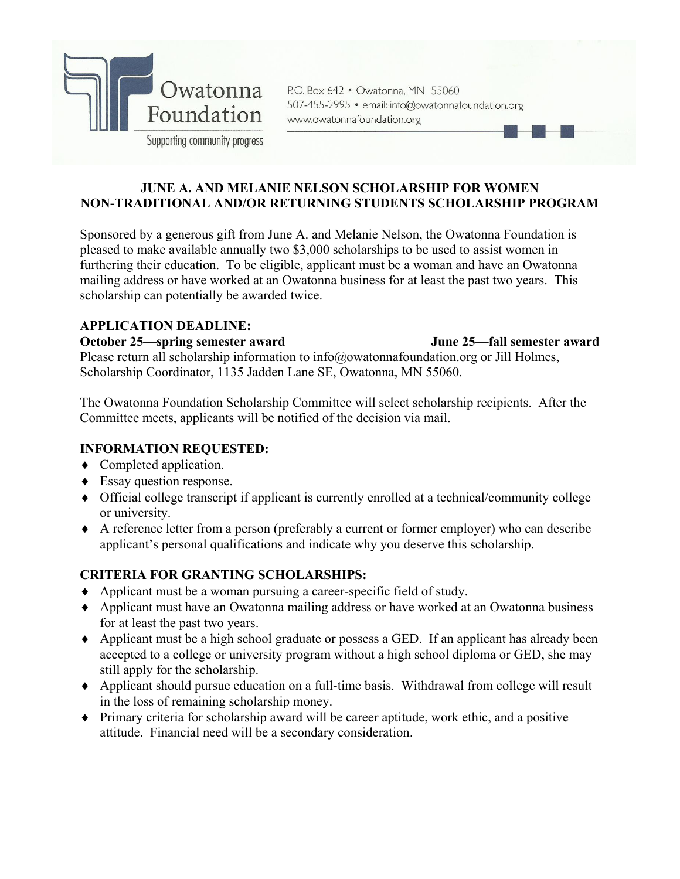

P.O. Box 642 . Owatonna, MN 55060 507-455-2995 · email: info@owatonnafoundation.org www.owatonnafoundation.org

### **JUNE A. AND MELANIE NELSON SCHOLARSHIP FOR WOMEN NON-TRADITIONAL AND/OR RETURNING STUDENTS SCHOLARSHIP PROGRAM**

Sponsored by a generous gift from June A. and Melanie Nelson, the Owatonna Foundation is pleased to make available annually two \$3,000 scholarships to be used to assist women in furthering their education. To be eligible, applicant must be a woman and have an Owatonna mailing address or have worked at an Owatonna business for at least the past two years. This scholarship can potentially be awarded twice.

## **APPLICATION DEADLINE:**

## **October 25—spring semester award June 25—fall semester award**

Please return all scholarship information to info@owatonnafoundation.org or Jill Holmes, Scholarship Coordinator, 1135 Jadden Lane SE, Owatonna, MN 55060.

The Owatonna Foundation Scholarship Committee will select scholarship recipients. After the Committee meets, applicants will be notified of the decision via mail.

# **INFORMATION REQUESTED:**

- Completed application.
- Essay question response.
- Official college transcript if applicant is currently enrolled at a technical/community college or university.
- A reference letter from a person (preferably a current or former employer) who can describe applicant's personal qualifications and indicate why you deserve this scholarship.

# **CRITERIA FOR GRANTING SCHOLARSHIPS:**

- Applicant must be a woman pursuing a career-specific field of study.
- Applicant must have an Owatonna mailing address or have worked at an Owatonna business for at least the past two years.
- Applicant must be a high school graduate or possess a GED. If an applicant has already been accepted to a college or university program without a high school diploma or GED, she may still apply for the scholarship.
- Applicant should pursue education on a full-time basis. Withdrawal from college will result in the loss of remaining scholarship money.
- Primary criteria for scholarship award will be career aptitude, work ethic, and a positive attitude. Financial need will be a secondary consideration.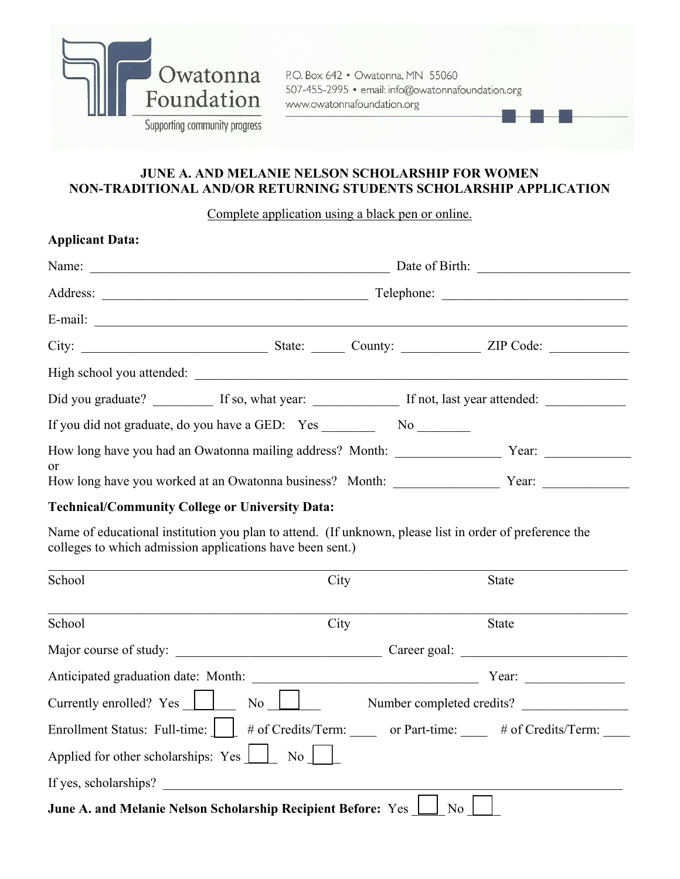

P.O. Box 642 • Owatonna, MN 55060 507-455-2995 · email: info@owatonnafoundation.org www.owatonnafoundation.org

# **JUNE A. AND MELANIE NELSON SCHOLARSHIP FOR WOMEN NON-TRADITIONAL AND/OR RETURNING STUDENTS SCHOLARSHIP APPLICATION**

## Complete application using a black pen or online.

| <b>Applicant Data:</b>                                                                            |  |                        |                                                                                                      |  |
|---------------------------------------------------------------------------------------------------|--|------------------------|------------------------------------------------------------------------------------------------------|--|
|                                                                                                   |  |                        |                                                                                                      |  |
|                                                                                                   |  |                        |                                                                                                      |  |
|                                                                                                   |  |                        |                                                                                                      |  |
|                                                                                                   |  |                        |                                                                                                      |  |
| High school you attended:                                                                         |  |                        |                                                                                                      |  |
|                                                                                                   |  |                        |                                                                                                      |  |
| If you did not graduate, do you have a GED: Yes                                                   |  | $\overline{\text{No}}$ |                                                                                                      |  |
|                                                                                                   |  |                        | How long have you had an Owatonna mailing address? Month: _______________________ Year: ____________ |  |
| <sub>or</sub><br>How long have you worked at an Owatonna business? Month: _______________________ |  |                        | Year: $\frac{1}{\sqrt{1-\frac{1}{2}}\sqrt{1-\frac{1}{2}}\left(\frac{1}{2}-\frac{1}{2}\right)}$       |  |

## **Technical/Community College or University Data:**

Name of educational institution you plan to attend. (If unknown, please list in order of preference the colleges to which admission applications have been sent.)

| School                                                                                | City | <b>State</b>              |  |  |
|---------------------------------------------------------------------------------------|------|---------------------------|--|--|
| School                                                                                | City | <b>State</b>              |  |  |
| Major course of study:<br><u> 1980 - Jan Stein, amerikansk politiker (</u>            |      | Career goal:              |  |  |
| Anticipated graduation date: Month:                                                   |      | Year:                     |  |  |
| Currently enrolled? Yes<br>No No                                                      |      | Number completed credits? |  |  |
| Enrollment Status: Full-time:     # of Credits/Term: or Part-time: # of Credits/Term: |      |                           |  |  |
| Applied for other scholarships: Yes                                                   | No   |                           |  |  |
| If yes, scholarships?                                                                 |      |                           |  |  |
| June A. and Melanie Nelson Scholarship Recipient Before: Yes<br>No                    |      |                           |  |  |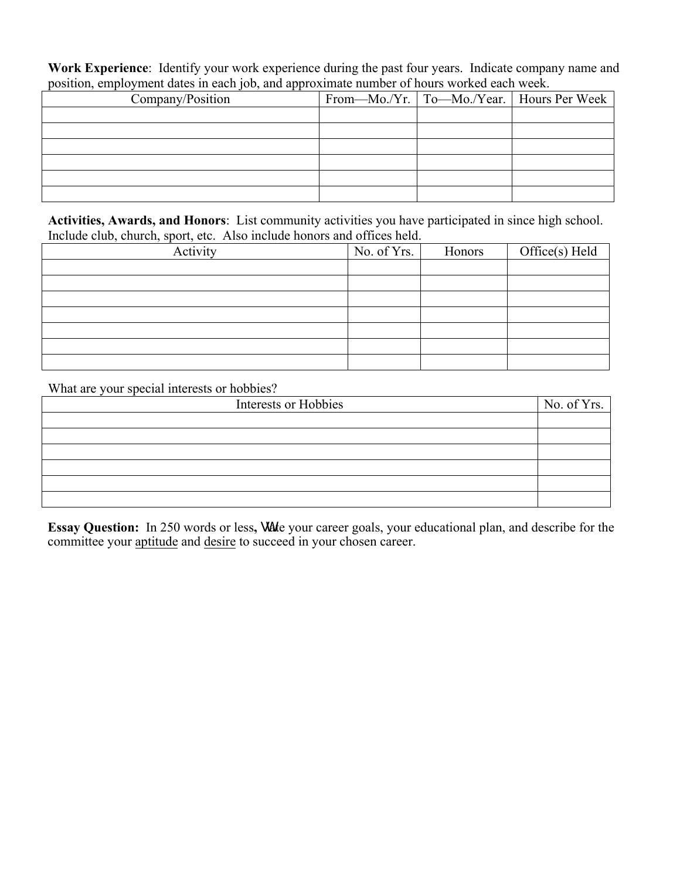**Work Experience**: Identify your work experience during the past four years. Indicate company name and position, employment dates in each job, and approximate number of hours worked each week.

| Company/Position |  | From—Mo./Yr.   To—Mo./Year.   Hours Per Week |
|------------------|--|----------------------------------------------|
|                  |  |                                              |
|                  |  |                                              |
|                  |  |                                              |
|                  |  |                                              |
|                  |  |                                              |
|                  |  |                                              |

**Activities, Awards, and Honors**: List community activities you have participated in since high school. Include club, church, sport, etc. Also include honors and offices held.

| Activity | No. of Yrs. | Honors | $Office(s)$ Held |
|----------|-------------|--------|------------------|
|          |             |        |                  |
|          |             |        |                  |
|          |             |        |                  |
|          |             |        |                  |
|          |             |        |                  |
|          |             |        |                  |
|          |             |        |                  |

What are your special interests or hobbies?

| Interests or Hobbies | No. of Yrs. |
|----------------------|-------------|
|                      |             |
|                      |             |
|                      |             |
|                      |             |
|                      |             |
|                      |             |

**Essay Question:** In 250 words or less, unate your career goals, your educational plan, and describe for the committee your aptitude and desire to succeed in your chosen career.